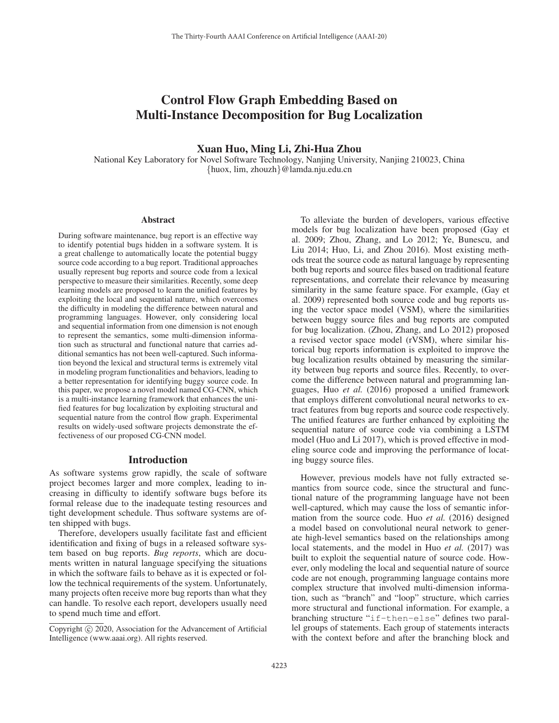# Control Flow Graph Embedding Based on Multi-Instance Decomposition for Bug Localization

# Xuan Huo, Ming Li, Zhi-Hua Zhou

National Key Laboratory for Novel Software Technology, Nanjing University, Nanjing 210023, China {huox, lim, zhouzh}@lamda.nju.edu.cn

#### **Abstract**

During software maintenance, bug report is an effective way to identify potential bugs hidden in a software system. It is a great challenge to automatically locate the potential buggy source code according to a bug report. Traditional approaches usually represent bug reports and source code from a lexical perspective to measure their similarities. Recently, some deep learning models are proposed to learn the unified features by exploiting the local and sequential nature, which overcomes the difficulty in modeling the difference between natural and programming languages. However, only considering local and sequential information from one dimension is not enough to represent the semantics, some multi-dimension information such as structural and functional nature that carries additional semantics has not been well-captured. Such information beyond the lexical and structural terms is extremely vital in modeling program functionalities and behaviors, leading to a better representation for identifying buggy source code. In this paper, we propose a novel model named CG-CNN, which is a multi-instance learning framework that enhances the unified features for bug localization by exploiting structural and sequential nature from the control flow graph. Experimental results on widely-used software projects demonstrate the effectiveness of our proposed CG-CNN model.

#### Introduction

As software systems grow rapidly, the scale of software project becomes larger and more complex, leading to increasing in difficulty to identify software bugs before its formal release due to the inadequate testing resources and tight development schedule. Thus software systems are often shipped with bugs.

Therefore, developers usually facilitate fast and efficient identification and fixing of bugs in a released software system based on bug reports. *Bug reports*, which are documents written in natural language specifying the situations in which the software fails to behave as it is expected or follow the technical requirements of the system. Unfortunately, many projects often receive more bug reports than what they can handle. To resolve each report, developers usually need to spend much time and effort.

To alleviate the burden of developers, various effective models for bug localization have been proposed (Gay et al. 2009; Zhou, Zhang, and Lo 2012; Ye, Bunescu, and Liu 2014; Huo, Li, and Zhou 2016). Most existing methods treat the source code as natural language by representing both bug reports and source files based on traditional feature representations, and correlate their relevance by measuring similarity in the same feature space. For example, (Gay et al. 2009) represented both source code and bug reports using the vector space model (VSM), where the similarities between buggy source files and bug reports are computed for bug localization. (Zhou, Zhang, and Lo 2012) proposed a revised vector space model (rVSM), where similar historical bug reports information is exploited to improve the bug localization results obtained by measuring the similarity between bug reports and source files. Recently, to overcome the difference between natural and programming languages, Huo *et al.* (2016) proposed a unified framework that employs different convolutional neural networks to extract features from bug reports and source code respectively. The unified features are further enhanced by exploiting the sequential nature of source code via combining a LSTM model (Huo and Li 2017), which is proved effective in modeling source code and improving the performance of locating buggy source files.

However, previous models have not fully extracted semantics from source code, since the structural and functional nature of the programming language have not been well-captured, which may cause the loss of semantic information from the source code. Huo *et al.* (2016) designed a model based on convolutional neural network to generate high-level semantics based on the relationships among local statements, and the model in Huo *et al.* (2017) was built to exploit the sequential nature of source code. However, only modeling the local and sequential nature of source code are not enough, programming language contains more complex structure that involved multi-dimension information, such as "branch" and "loop" structure, which carries more structural and functional information. For example, a branching structure "if-then-else" defines two parallel groups of statements. Each group of statements interacts with the context before and after the branching block and

Copyright  $\odot$  2020, Association for the Advancement of Artificial Intelligence (www.aaai.org). All rights reserved.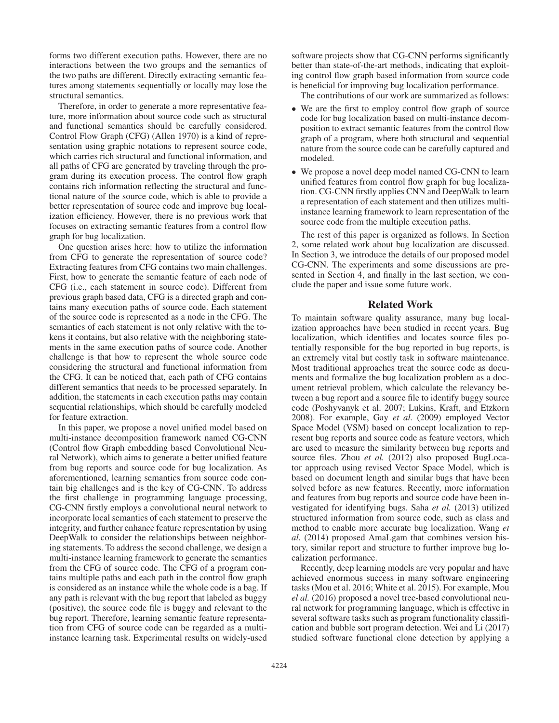forms two different execution paths. However, there are no interactions between the two groups and the semantics of the two paths are different. Directly extracting semantic features among statements sequentially or locally may lose the structural semantics.

Therefore, in order to generate a more representative feature, more information about source code such as structural and functional semantics should be carefully considered. Control Flow Graph (CFG) (Allen 1970) is a kind of representation using graphic notations to represent source code, which carries rich structural and functional information, and all paths of CFG are generated by traveling through the program during its execution process. The control flow graph contains rich information reflecting the structural and functional nature of the source code, which is able to provide a better representation of source code and improve bug localization efficiency. However, there is no previous work that focuses on extracting semantic features from a control flow graph for bug localization.

One question arises here: how to utilize the information from CFG to generate the representation of source code? Extracting features from CFG contains two main challenges. First, how to generate the semantic feature of each node of CFG (i.e., each statement in source code). Different from previous graph based data, CFG is a directed graph and contains many execution paths of source code. Each statement of the source code is represented as a node in the CFG. The semantics of each statement is not only relative with the tokens it contains, but also relative with the neighboring statements in the same execution paths of source code. Another challenge is that how to represent the whole source code considering the structural and functional information from the CFG. It can be noticed that, each path of CFG contains different semantics that needs to be processed separately. In addition, the statements in each execution paths may contain sequential relationships, which should be carefully modeled for feature extraction.

In this paper, we propose a novel unified model based on multi-instance decomposition framework named CG-CNN (Control flow Graph embedding based Convolutional Neural Network), which aims to generate a better unified feature from bug reports and source code for bug localization. As aforementioned, learning semantics from source code contain big challenges and is the key of CG-CNN. To address the first challenge in programming language processing, CG-CNN firstly employs a convolutional neural network to incorporate local semantics of each statement to preserve the integrity, and further enhance feature representation by using DeepWalk to consider the relationships between neighboring statements. To address the second challenge, we design a multi-instance learning framework to generate the semantics from the CFG of source code. The CFG of a program contains multiple paths and each path in the control flow graph is considered as an instance while the whole code is a bag. If any path is relevant with the bug report that labeled as buggy (positive), the source code file is buggy and relevant to the bug report. Therefore, learning semantic feature representation from CFG of source code can be regarded as a multiinstance learning task. Experimental results on widely-used

software projects show that CG-CNN performs significantly better than state-of-the-art methods, indicating that exploiting control flow graph based information from source code is beneficial for improving bug localization performance.

The contributions of our work are summarized as follows:

- We are the first to employ control flow graph of source code for bug localization based on multi-instance decomposition to extract semantic features from the control flow graph of a program, where both structural and sequential nature from the source code can be carefully captured and modeled.
- We propose a novel deep model named CG-CNN to learn unified features from control flow graph for bug localization. CG-CNN firstly applies CNN and DeepWalk to learn a representation of each statement and then utilizes multiinstance learning framework to learn representation of the source code from the multiple execution paths.

The rest of this paper is organized as follows. In Section 2, some related work about bug localization are discussed. In Section 3, we introduce the details of our proposed model CG-CNN. The experiments and some discussions are presented in Section 4, and finally in the last section, we conclude the paper and issue some future work.

#### Related Work

To maintain software quality assurance, many bug localization approaches have been studied in recent years. Bug localization, which identifies and locates source files potentially responsible for the bug reported in bug reports, is an extremely vital but costly task in software maintenance. Most traditional approaches treat the source code as documents and formalize the bug localization problem as a document retrieval problem, which calculate the relevancy between a bug report and a source file to identify buggy source code (Poshyvanyk et al. 2007; Lukins, Kraft, and Etzkorn 2008). For example, Gay *et al.* (2009) employed Vector Space Model (VSM) based on concept localization to represent bug reports and source code as feature vectors, which are used to measure the similarity between bug reports and source files. Zhou *et al.* (2012) also proposed BugLocator approach using revised Vector Space Model, which is based on document length and similar bugs that have been solved before as new features. Recently, more information and features from bug reports and source code have been investigated for identifying bugs. Saha *et al.* (2013) utilized structured information from source code, such as class and method to enable more accurate bug localization. Wang *et al.* (2014) proposed AmaLgam that combines version history, similar report and structure to further improve bug localization performance.

Recently, deep learning models are very popular and have achieved enormous success in many software engineering tasks (Mou et al. 2016; White et al. 2015). For example, Mou *el al.* (2016) proposed a novel tree-based convolutional neural network for programming language, which is effective in several software tasks such as program functionality classification and bubble sort program detection. Wei and Li (2017) studied software functional clone detection by applying a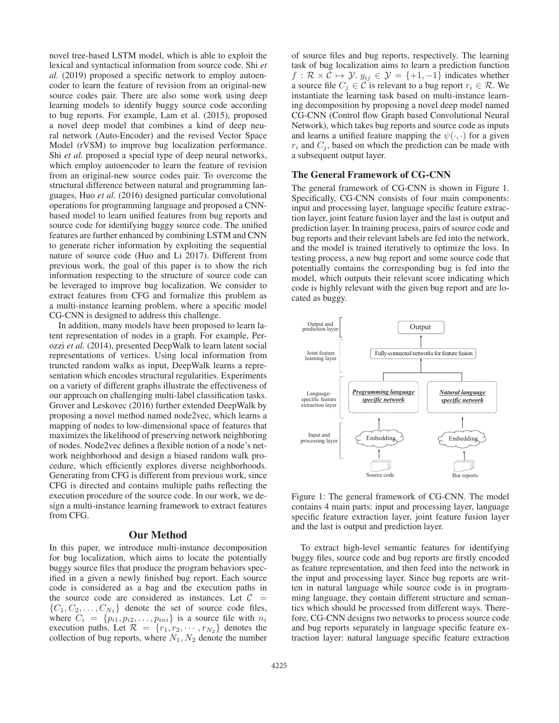novel tree-based LSTM model, which is able to exploit the lexical and syntactical information from source code. Shi *et al.* (2019) proposed a specific network to employ autoencoder to learn the feature of revision from an original-new source codes pair. There are also some work using deep learning models to identify buggy source code according to bug reports. For example, Lam et al. (2015), proposed a novel deep model that combines a kind of deep neural network (Auto-Encoder) and the revised Vector Space Model (rVSM) to improve bug localization performance. Shi *et al.* proposed a special type of deep neural networks, which employ autoencoder to learn the feature of revision from an original-new source codes pair. To overcome the structural difference between natural and programming languages, Huo *et al.* (2016) designed particular convolutional operations for programming language and proposed a CNNbased model to learn unified features from bug reports and source code for identifying buggy source code. The unified features are further enhanced by combining LSTM and CNN to generate richer information by exploiting the sequential nature of source code (Huo and Li 2017). Different from previous work, the goal of this paper is to show the rich information respecting to the structure of source code can be leveraged to improve bug localization. We consider to extract features from CFG and formalize this problem as a multi-instance learning problem, where a specific model CG-CNN is designed to address this challenge.

In addition, many models have been proposed to learn latent representation of nodes in a graph. For example, Perozzi *et al.* (2014), presented DeepWalk to learn latent social representations of vertices. Using local information from truncted random walks as input, DeepWalk learns a representation which encodes structural regularities. Experiments on a variety of different graphs illustrate the effectiveness of our approach on challenging multi-label classification tasks. Grover and Leskovec (2016) further extended DeepWalk by proposing a novel method named node2vec, which learns a mapping of nodes to low-dimensional space of features that maximizes the likelihood of preserving network neighboring of nodes. Node2vec defines a flexible notion of a node's network neighborhood and design a biased random walk procedure, which efficiently explores diverse neighborhoods. Generating from CFG is different from previous work, since CFG is directed and contains multiple paths reflecting the execution procedure of the source code. In our work, we design a multi-instance learning framework to extract features from CFG.

#### Our Method

In this paper, we introduce multi-instance decomposition for bug localization, which aims to locate the potentially buggy source files that produce the program behaviors specified in a given a newly finished bug report. Each source code is considered as a bag and the execution paths in the source code are considered as instances. Let  $C =$  $\{C_1, C_2, \ldots, C_{N_1}\}\$  denote the set of source code files, where  $C_i = \{p_{i1}, p_{i2}, \ldots, p_{ini}\}$  is a source file with  $n_i$ <br>execution paths Let  $R = \{r_1, r_2, \ldots, r_N\}$  denotes the execution paths. Let  $\mathcal{R} = \{r_1, r_2, \dots, r_{N_2}\}\)$  denotes the collection of buy reports, where  $N_1$ ,  $N_2$  denote the number collection of bug reports, where  $N_1, N_2$  denote the number

of source files and bug reports, respectively. The learning task of bug localization aims to learn a prediction function  $f : \mathcal{R} \times \mathcal{C} \mapsto \mathcal{Y}$ ,  $y_{ij} \in \mathcal{Y} = \{+1, -1\}$  indicates whether<br>a source file  $C_i \in \mathcal{C}$  is relevant to a bug report  $r_i \in \mathcal{R}$ . We a source file  $C_j \in \mathcal{C}$  is relevant to a bug report  $r_i \in \mathcal{R}$ . We instantiate the learning task based on multi-instance learning decomposition by proposing a novel deep model named CG-CNN (Control flow Graph based Convolutional Neural Network), which takes bug reports and source code as inputs and learns a unified feature mapping the  $\psi(\cdot, \cdot)$  for a given  $r_i$  and  $C_j$ , based on which the prediction can be made with a subsequent output layer.

#### The General Framework of CG-CNN

The general framework of CG-CNN is shown in Figure 1. Specifically, CG-CNN consists of four main components: input and processing layer, language specific feature extraction layer, joint feature fusion layer and the last is output and prediction layer. In training process, pairs of source code and bug reports and their relevant labels are fed into the network, and the model is trained iteratively to optimize the loss. In testing process, a new bug report and some source code that potentially contains the corresponding bug is fed into the model, which outputs their relevant score indicating which code is highly relevant with the given bug report and are located as buggy.



Figure 1: The general framework of CG-CNN. The model contains 4 main parts: input and processing layer, language specific feature extraction layer, joint feature fusion layer and the last is output and prediction layer.

To extract high-level semantic features for identifying buggy files, source code and bug reports are firstly encoded as feature representation, and then feed into the network in the input and processing layer. Since bug reports are written in natural language while source code is in programming language, they contain different structure and semantics which should be processed from different ways. Therefore, CG-CNN designs two networks to process source code and bug reports separately in language specific feature extraction layer: natural language specific feature extraction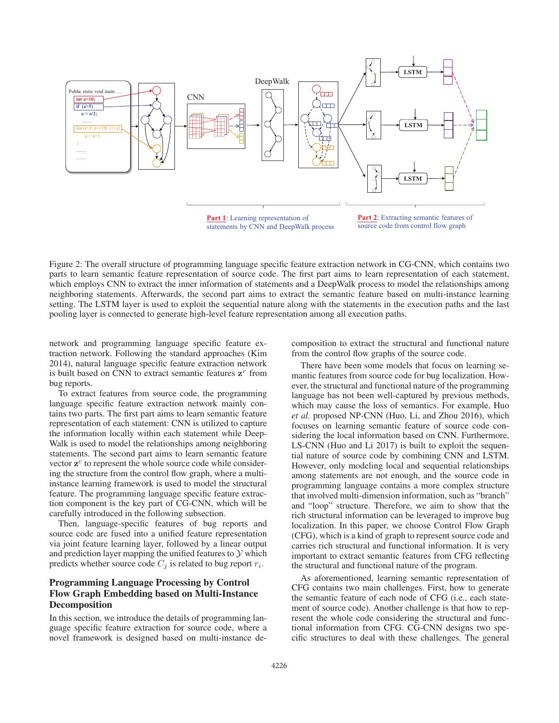

Figure 2: The overall structure of programming language specific feature extraction network in CG-CNN, which contains two parts to learn semantic feature representation of source code. The first part aims to learn representation of each statement, which employs CNN to extract the inner information of statements and a DeepWalk process to model the relationships among neighboring statements. Afterwards, the second part aims to extract the semantic feature based on multi-instance learning setting. The LSTM layer is used to exploit the sequential nature along with the statements in the execution paths and the last pooling layer is connected to generate high-level feature representation among all execution paths.

network and programming language specific feature extraction network. Following the standard approaches (Kim 2014), natural language specific feature extraction network is built based on CNN to extract semantic features  $z<sup>r</sup>$  from bug reports.

To extract features from source code, the programming language specific feature extraction network mainly contains two parts. The first part aims to learn semantic feature representation of each statement: CNN is utilized to capture the information locally within each statement while Deep-Walk is used to model the relationships among neighboring statements. The second part aims to learn semantic feature vector  $z^c$  to represent the whole source code while considering the structure from the control flow graph, where a multiinstance learning framework is used to model the structural feature. The programming language specific feature extraction component is the key part of CG-CNN, which will be carefully introduced in the following subsection.

Then, language-specific features of bug reports and source code are fused into a unified feature representation via joint feature learning layer, followed by a linear output and prediction layer mapping the unified features to  $\mathcal Y$  which predicts whether source code  $C_i$  is related to bug report  $r_i$ .

# Programming Language Processing by Control Flow Graph Embedding based on Multi-Instance Decomposition

In this section, we introduce the details of programming language specific feature extraction for source code, where a novel framework is designed based on multi-instance decomposition to extract the structural and functional nature from the control flow graphs of the source code.

There have been some models that focus on learning semantic features from source code for bug localization. However, the structural and functional nature of the programming language has not been well-captured by previous methods, which may cause the loss of semantics. For example, Huo *et al.* proposed NP-CNN (Huo, Li, and Zhou 2016), which focuses on learning semantic feature of source code considering the local information based on CNN. Furthermore, LS-CNN (Huo and Li 2017) is built to exploit the sequential nature of source code by combining CNN and LSTM. However, only modeling local and sequential relationships among statements are not enough, and the source code in programming language contains a more complex structure that involved multi-dimension information, such as "branch" and "loop" structure. Therefore, we aim to show that the rich structural information can be leveraged to improve bug localization. In this paper, we choose Control Flow Graph (CFG), which is a kind of graph to represent source code and carries rich structural and functional information. It is very important to extract semantic features from CFG reflecting the structural and functional nature of the program.

As aforementioned, learning semantic representation of CFG contains two main challenges. First, how to generate the semantic feature of each node of CFG (i.e., each statement of source code). Another challenge is that how to represent the whole code considering the structural and functional information from CFG. CG-CNN designs two specific structures to deal with these challenges. The general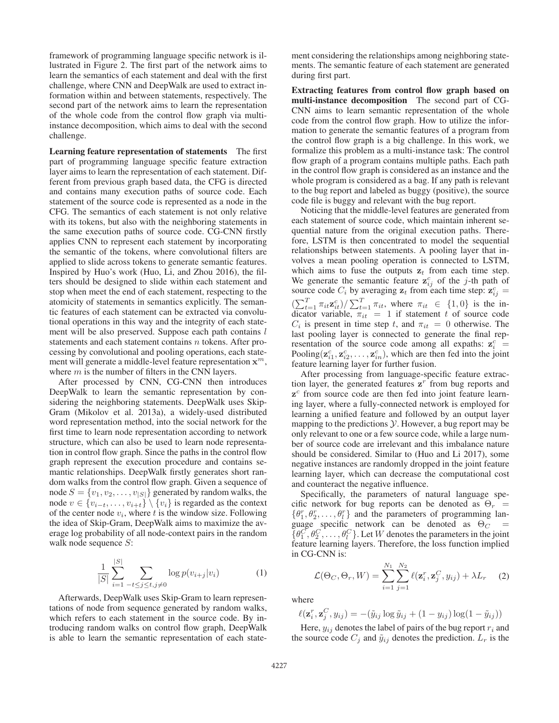framework of programming language specific network is illustrated in Figure 2. The first part of the network aims to learn the semantics of each statement and deal with the first challenge, where CNN and DeepWalk are used to extract information within and between statements, respectively. The second part of the network aims to learn the representation of the whole code from the control flow graph via multiinstance decomposition, which aims to deal with the second challenge.

Learning feature representation of statements The first part of programming language specific feature extraction layer aims to learn the representation of each statement. Different from previous graph based data, the CFG is directed and contains many execution paths of source code. Each statement of the source code is represented as a node in the CFG. The semantics of each statement is not only relative with its tokens, but also with the neighboring statements in the same execution paths of source code. CG-CNN firstly applies CNN to represent each statement by incorporating the semantic of the tokens, where convolutional filters are applied to slide across tokens to generate semantic features. Inspired by Huo's work (Huo, Li, and Zhou 2016), the filters should be designed to slide within each statement and stop when meet the end of each statement, respecting to the atomicity of statements in semantics explicitly. The semantic features of each statement can be extracted via convolutional operations in this way and the integrity of each statement will be also preserved. Suppose each path contains l statements and each statement contains n tokens. After processing by convolutional and pooling operations, each statement will generate a middle-level feature representation  $x^m$ , where  $m$  is the number of filters in the CNN layers.

After processed by CNN, CG-CNN then introduces DeepWalk to learn the semantic representation by considering the neighboring statements. DeepWalk uses Skip-Gram (Mikolov et al. 2013a), a widely-used distributed word representation method, into the social network for the first time to learn node representation according to network structure, which can also be used to learn node representation in control flow graph. Since the paths in the control flow graph represent the execution procedure and contains semantic relationships. DeepWalk firstly generates short random walks from the control flow graph. Given a sequence of node  $S = \{v_1, v_2, \dots, v_{|S|}\}\$ generated by random walks, the node  $v \in \{v_{i-t}, \ldots, v_{i+t}\}\setminus \{v_i\}$  is regarded as the context of the center node  $v_i$ , where t is the window size. Following the idea of Skip-Gram, DeepWalk aims to maximize the average log probability of all node-context pairs in the random walk node sequence S:

$$
\frac{1}{|S|} \sum_{i=1}^{|S|} \sum_{-t \le j \le t, j \ne 0} \log p(v_{i+j}|v_i)
$$
 (1)

Afterwards, DeepWalk uses Skip-Gram to learn representations of node from sequence generated by random walks, which refers to each statement in the source code. By introducing random walks on control flow graph, DeepWalk is able to learn the semantic representation of each state-

ment considering the relationships among neighboring statements. The semantic feature of each statement are generated during first part.

Extracting features from control flow graph based on multi-instance decomposition The second part of CG-CNN aims to learn semantic representation of the whole code from the control flow graph. How to utilize the information to generate the semantic features of a program from the control flow graph is a big challenge. In this work, we formalize this problem as a multi-instance task: The control flow graph of a program contains multiple paths. Each path in the control flow graph is considered as an instance and the whole program is considered as a bag. If any path is relevant to the bug report and labeled as buggy (positive), the source code file is buggy and relevant with the bug report.

Noticing that the middle-level features are generated from each statement of source code, which maintain inherent sequential nature from the original execution paths. Therefore, LSTM is then concentrated to model the sequential relationships between statements. A pooling layer that involves a mean pooling operation is connected to LSTM, which aims to fuse the outputs  $z_t$  from each time step. We generate the semantic feature  $z_{ij}^c$  of the j-th path of source code  $C_i$  by averaging  $z_t$  from each time step:  $z_{ij}^c$  =  $\frac{ij}{i}$  $\left(\sum_{t=1}^T \pi_{it} \mathbf{z}_{it}^c\right) / \sum_{t=1}^T \pi_{it}$ , where  $\pi_{it} \in \{1,0\}$  is the in-<br>dicator variable  $\pi_{it} = 1$  if statement t of source code dicator variable,  $\pi_{it} = 1$  if statement t of source code  $C_i$  is present in time step t, and  $\pi_{it} = 0$  otherwise. The last pooling layer is connected to generate the final representation of the source code among all expaths:  $z_i^c$ Fooling( $z_{i1}^c, z_{i2}^c, \ldots, z_{in}^c$ ), which are then fed into the joint feature learning layer for further fusion feature learning layer for further fusion.

After processing from language-specific feature extraction layer, the generated features  $z<sup>r</sup>$  from bug reports and  $z<sup>c</sup>$  from source code are then fed into joint feature learning layer, where a fully-connected network is employed for learning a unified feature and followed by an output layer mapping to the predictions  $\mathcal Y$ . However, a bug report may be only relevant to one or a few source code, while a large number of source code are irrelevant and this imbalance nature should be considered. Similar to (Huo and Li 2017), some negative instances are randomly dropped in the joint feature learning layer, which can decrease the computational cost and counteract the negative influence.

Specifically, the parameters of natural language specific network for bug reports can be denoted as  $\Theta_r$  =  $\{\theta_1^r, \theta_2^r, \dots, \theta_l^r\}$  and the parameters of programming language specific network can be denoted as  $\Theta_C = {\theta_1^C, \theta_2^C, \ldots, \theta_l^C}$ . Let *W* denotes the parameters in the joint feature learning layers. Therefore, the loss function implied in CG-CNN is:

$$
\mathcal{L}(\Theta_C, \Theta_r, W) = \sum_{i=1}^{N_1} \sum_{j=1}^{N_2} \ell(\mathbf{z}_i^r, \mathbf{z}_j^C, y_{ij}) + \lambda L_r \quad (2)
$$

where

$$
\ell(\mathbf{z}_i^r, \mathbf{z}_j^C, y_{ij}) = -(\tilde{y}_{ij} \log \tilde{y}_{ij} + (1 - y_{ij}) \log(1 - \tilde{y}_{ij}))
$$

Here,  $y_{ij}$  denotes the label of pairs of the bug report  $r_i$  and the source code  $C_j$  and  $\tilde{y}_{ij}$  denotes the prediction.  $L_r$  is the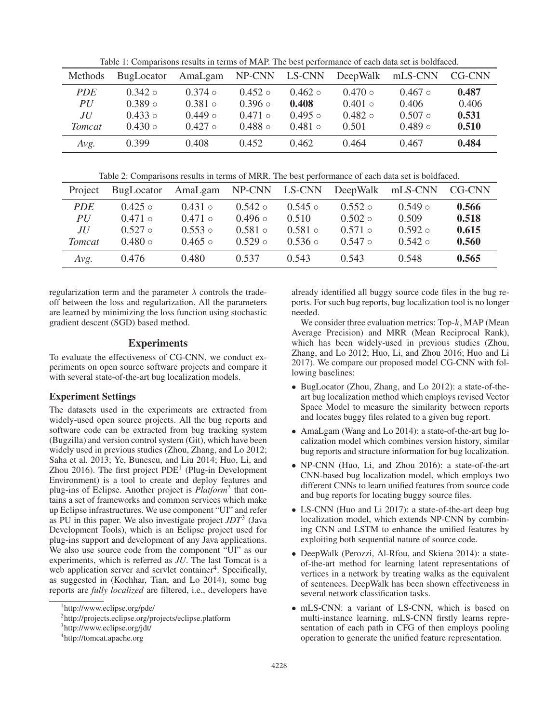Table 1: Comparisons results in terms of MAP. The best performance of each data set is boldfaced.

| Methods       | <b>BugLocator</b> | AmaLgam       | NP-CNN        | LS-CNN        | DeepWalk      | mLS-CNN       | CG-CNN |
|---------------|-------------------|---------------|---------------|---------------|---------------|---------------|--------|
| <i>PDE</i>    | $0.342 \circ$     | $0.374 \circ$ | $0.452 \circ$ | $0.462 \circ$ | $0.470 \circ$ | $0.467$ o     | 0.487  |
| PU            | 0.389             | $0.381 \circ$ | $0.396 \circ$ | 0.408         | $0.401 \circ$ | 0.406         | 0.406  |
| ЛU            | $0.433 \circ$     | $0.449 \circ$ | $0.471 \circ$ | $0.495 \circ$ | $0.482 \circ$ | $0.507$ o     | 0.531  |
| <b>Tomcat</b> | $0.430 \circ$     | $0.427$ o     | $0.488 \circ$ | $0.481 \circ$ | 0.501         | $0.489 \circ$ | 0.510  |
| Avg.          | 0.399             | 0.408         | 0.452         | 0.462         | 0.464         | 0.467         | 0.484  |

Table 2: Comparisons results in terms of MRR. The best performance of each data set is boldfaced.

| Project       | <b>BugLocator</b> | AmaLgam       | NP-CNN        | LS-CNN        | DeepWalk      | mLS-CNN       | CG-CNN |
|---------------|-------------------|---------------|---------------|---------------|---------------|---------------|--------|
| <i>PDE</i>    | $0.425 \circ$     | $0.431 \circ$ | $0.542 \circ$ | $0.545 \circ$ | $0.552 \circ$ | $0.549 \circ$ | 0.566  |
| PU            | $0.471$ o         | $0.471$ o     | $0.496 \circ$ | 0.510         | $0.502 \circ$ | 0.509         | 0.518  |
| ЛU            | $0.527$ o         | $0.553 \circ$ | $0.581 \circ$ | $0.581 \circ$ | $0.571 \circ$ | $0.592 \circ$ | 0.615  |
| <i>Tomcat</i> | $0.480 \circ$     | $0.465 \circ$ | $0.529 \circ$ | $0.536 \circ$ | $0.547 \circ$ | $0.542 \circ$ | 0.560  |
| Avg.          | 0.476             | 0.480         | 0.537         | 0.543         | 0.543         | 0.548         | 0.565  |

regularization term and the parameter  $\lambda$  controls the tradeoff between the loss and regularization. All the parameters are learned by minimizing the loss function using stochastic gradient descent (SGD) based method.

## Experiments

To evaluate the effectiveness of CG-CNN, we conduct experiments on open source software projects and compare it with several state-of-the-art bug localization models.

### Experiment Settings

The datasets used in the experiments are extracted from widely-used open source projects. All the bug reports and software code can be extracted from bug tracking system (Bugzilla) and version control system (Git), which have been widely used in previous studies (Zhou, Zhang, and Lo 2012; Saha et al. 2013; Ye, Bunescu, and Liu 2014; Huo, Li, and Zhou 2016). The first project  $PDE<sup>1</sup>$  (Plug-in Development Environment) is a tool to create and deploy features and plug-ins of Eclipse. Another project is *Platform*<sup>2</sup> that contains a set of frameworks and common services which make up Eclipse infrastructures. We use component "UI" and refer as PU in this paper. We also investigate project *JDT*<sup>3</sup> (Java Development Tools), which is an Eclipse project used for plug-ins support and development of any Java applications. We also use source code from the component "UI" as our experiments, which is referred as *JU*. The last Tomcat is a web application server and servlet container<sup>4</sup>. Specifically, as suggested in (Kochhar, Tian, and Lo 2014), some bug reports are *fully localized* are filtered, i.e., developers have already identified all buggy source code files in the bug reports. For such bug reports, bug localization tool is no longer needed.

We consider three evaluation metrics: Top- $k$ , MAP (Mean Average Precision) and MRR (Mean Reciprocal Rank), which has been widely-used in previous studies (Zhou, Zhang, and Lo 2012; Huo, Li, and Zhou 2016; Huo and Li 2017). We compare our proposed model CG-CNN with following baselines:

- BugLocator (Zhou, Zhang, and Lo 2012): a state-of-theart bug localization method which employs revised Vector Space Model to measure the similarity between reports and locates buggy files related to a given bug report.
- AmaLgam (Wang and Lo 2014): a state-of-the-art bug localization model which combines version history, similar bug reports and structure information for bug localization.
- NP-CNN (Huo, Li, and Zhou 2016): a state-of-the-art CNN-based bug localization model, which employs two different CNNs to learn unified features from source code and bug reports for locating buggy source files.
- LS-CNN (Huo and Li 2017): a state-of-the-art deep bug localization model, which extends NP-CNN by combining CNN and LSTM to enhance the unified features by exploiting both sequential nature of source code.
- DeepWalk (Perozzi, Al-Rfou, and Skiena 2014): a stateof-the-art method for learning latent representations of vertices in a network by treating walks as the equivalent of sentences. DeepWalk has been shown effectiveness in several network classification tasks.
- mLS-CNN: a variant of LS-CNN, which is based on multi-instance learning. mLS-CNN firstly learns representation of each path in CFG of then employs pooling operation to generate the unified feature representation.

<sup>1</sup> http://www.eclipse.org/pde/

<sup>2</sup> http://projects.eclipse.org/projects/eclipse.platform

<sup>3</sup> http://www.eclipse.org/jdt/

<sup>4</sup> http://tomcat.apache.org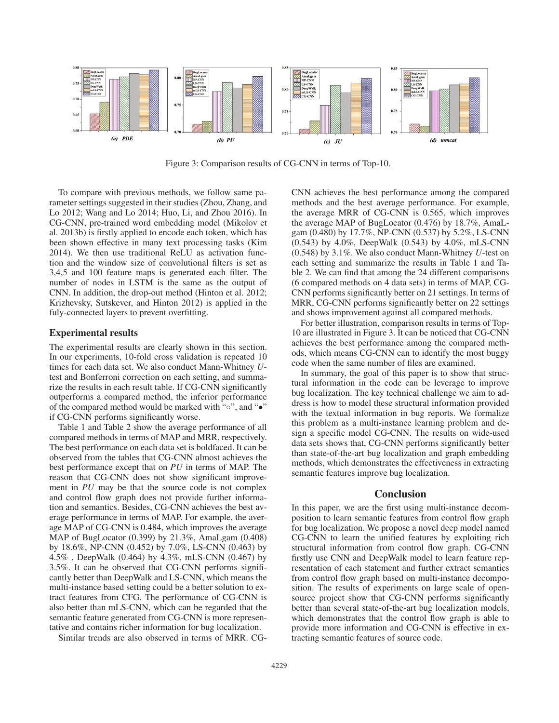

Figure 3: Comparison results of CG-CNN in terms of Top-10.

To compare with previous methods, we follow same parameter settings suggested in their studies (Zhou, Zhang, and Lo 2012; Wang and Lo 2014; Huo, Li, and Zhou 2016). In CG-CNN, pre-trained word embedding model (Mikolov et al. 2013b) is firstly applied to encode each token, which has been shown effective in many text processing tasks (Kim 2014). We then use traditional ReLU as activation function and the window size of convolutional filters is set as 3,4,5 and 100 feature maps is generated each filter. The number of nodes in LSTM is the same as the output of CNN. In addition, the drop-out method (Hinton et al. 2012; Krizhevsky, Sutskever, and Hinton 2012) is applied in the fuly-connected layers to prevent overfitting.

#### Experimental results

The experimental results are clearly shown in this section. In our experiments, 10-fold cross validation is repeated 10 times for each data set. We also conduct Mann-Whitney *U*test and Bonferroni correction on each setting, and summarize the results in each result table. If CG-CNN significantly outperforms a compared method, the inferior performance of the compared method would be marked with "◦", and "•" if CG-CNN performs significantly worse.

Table 1 and Table 2 show the average performance of all compared methods in terms of MAP and MRR, respectively. The best performance on each data set is boldfaced. It can be observed from the tables that CG-CNN almost achieves the best performance except that on *PU* in terms of MAP. The reason that CG-CNN does not show significant improvement in *PU* may be that the source code is not complex and control flow graph does not provide further information and semantics. Besides, CG-CNN achieves the best average performance in terms of MAP. For example, the average MAP of CG-CNN is 0.484, which improves the average MAP of BugLocator (0.399) by 21.3%, AmaLgam (0.408) by 18.6%, NP-CNN (0.452) by 7.0%, LS-CNN (0.463) by 4.5% , DeepWalk (0.464) by 4.3%, mLS-CNN (0.467) by 3.5%. It can be observed that CG-CNN performs significantly better than DeepWalk and LS-CNN, which means the multi-instance based setting could be a better solution to extract features from CFG. The performance of CG-CNN is also better than mLS-CNN, which can be regarded that the semantic feature generated from CG-CNN is more representative and contains richer information for bug localization.

Similar trends are also observed in terms of MRR. CG-

CNN achieves the best performance among the compared methods and the best average performance. For example, the average MRR of CG-CNN is 0.565, which improves the average MAP of BugLocator (0.476) by 18.7%, AmaLgam (0.480) by 17.7%, NP-CNN (0.537) by 5.2%, LS-CNN (0.543) by 4.0%, DeepWalk (0.543) by 4.0%, mLS-CNN (0.548) by 3.1%. We also conduct Mann-Whitney *U*-test on each setting and summarize the results in Table 1 and Table 2. We can find that among the 24 different comparisons (6 compared methods on 4 data sets) in terms of MAP, CG-CNN performs significantly better on 21 settings. In terms of MRR, CG-CNN performs significantly better on 22 settings and shows improvement against all compared methods.

For better illustration, comparison results in terms of Top-10 are illustrated in Figure 3. It can be noticed that CG-CNN achieves the best performance among the compared methods, which means CG-CNN can to identify the most buggy code when the same number of files are examined.

In summary, the goal of this paper is to show that structural information in the code can be leverage to improve bug localization. The key technical challenge we aim to address is how to model these structural information provided with the textual information in bug reports. We formalize this problem as a multi-instance learning problem and design a specific model CG-CNN. The results on wide-used data sets shows that, CG-CNN performs significantly better than state-of-the-art bug localization and graph embedding methods, which demonstrates the effectiveness in extracting semantic features improve bug localization.

# **Conclusion**

In this paper, we are the first using multi-instance decomposition to learn semantic features from control flow graph for bug localization. We propose a novel deep model named CG-CNN to learn the unified features by exploiting rich structural information from control flow graph. CG-CNN firstly use CNN and DeepWalk model to learn feature representation of each statement and further extract semantics from control flow graph based on multi-instance decomposition. The results of experiments on large scale of opensource project show that CG-CNN performs significantly better than several state-of-the-art bug localization models, which demonstrates that the control flow graph is able to provide more information and CG-CNN is effective in extracting semantic features of source code.